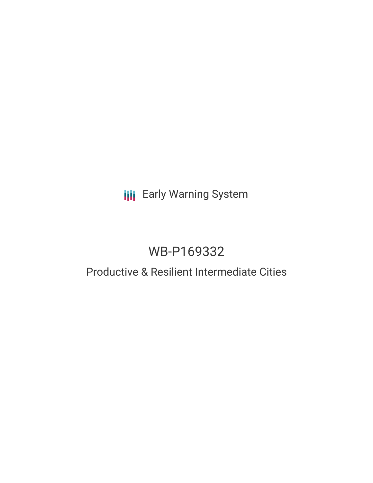# **III** Early Warning System

# WB-P169332

## Productive & Resilient Intermediate Cities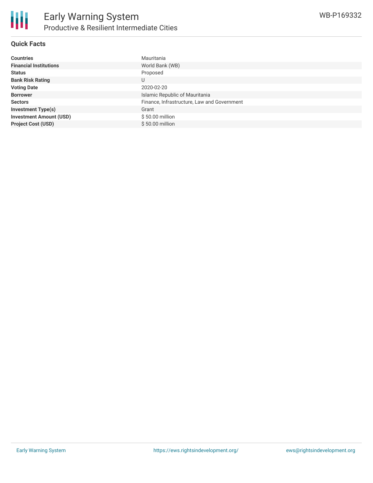

#### **Quick Facts**

| <b>Countries</b>               | Mauritania                                  |
|--------------------------------|---------------------------------------------|
| <b>Financial Institutions</b>  | World Bank (WB)                             |
| <b>Status</b>                  | Proposed                                    |
| <b>Bank Risk Rating</b>        | U                                           |
| <b>Voting Date</b>             | 2020-02-20                                  |
| <b>Borrower</b>                | Islamic Republic of Mauritania              |
| <b>Sectors</b>                 | Finance, Infrastructure, Law and Government |
| <b>Investment Type(s)</b>      | Grant                                       |
| <b>Investment Amount (USD)</b> | \$50.00 million                             |
| <b>Project Cost (USD)</b>      | \$50.00 million                             |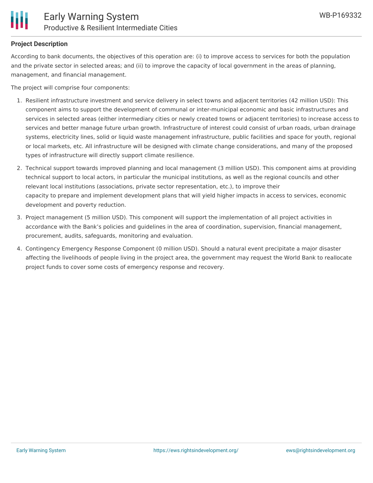

#### **Project Description**

According to bank documents, the objectives of this operation are: (i) to improve access to services for both the population and the private sector in selected areas; and (ii) to improve the capacity of local government in the areas of planning, management, and financial management.

The project will comprise four components:

- 1. Resilient infrastructure investment and service delivery in select towns and adjacent territories (42 million USD): This component aims to support the development of communal or inter-municipal economic and basic infrastructures and services in selected areas (either intermediary cities or newly created towns or adjacent territories) to increase access to services and better manage future urban growth. Infrastructure of interest could consist of urban roads, urban drainage systems, electricity lines, solid or liquid waste management infrastructure, public facilities and space for youth, regional or local markets, etc. All infrastructure will be designed with climate change considerations, and many of the proposed types of infrastructure will directly support climate resilience.
- 2. Technical support towards improved planning and local management (3 million USD). This component aims at providing technical support to local actors, in particular the municipal institutions, as well as the regional councils and other relevant local institutions (associations, private sector representation, etc.), to improve their capacity to prepare and implement development plans that will yield higher impacts in access to services, economic development and poverty reduction.
- 3. Project management (5 million USD). This component will support the implementation of all project activities in accordance with the Bank's policies and guidelines in the area of coordination, supervision, financial management, procurement, audits, safeguards, monitoring and evaluation.
- 4. Contingency Emergency Response Component (0 million USD). Should a natural event precipitate a major disaster affecting the livelihoods of people living in the project area, the government may request the World Bank to reallocate project funds to cover some costs of emergency response and recovery.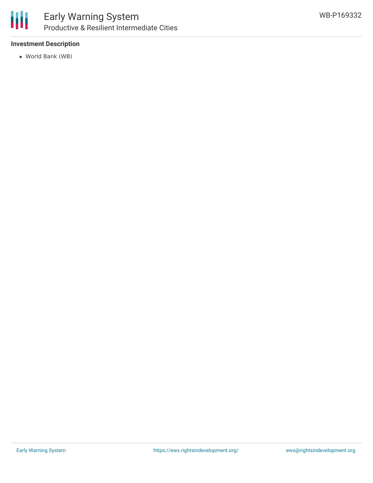

#### **Investment Description**

World Bank (WB)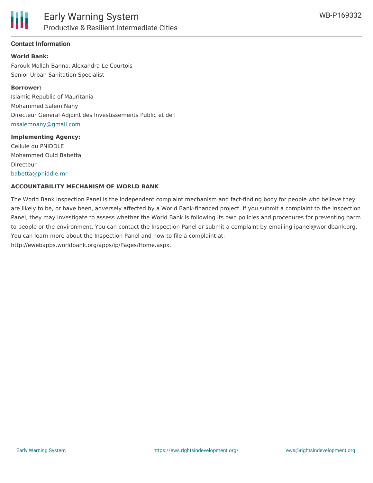

#### **Contact Information**

#### **World Bank:**

Farouk Mollah Banna, Alexandra Le Courtois Senior Urban Sanitation Specialist

#### **Borrower:**

Islamic Republic of Mauritania Mohammed Salem Nany Directeur General Adjoint des Investissements Public et de l [msalemnany@gmail.com](mailto:msalemnany@gmail.com)

#### **Implementing Agency:**

Cellule du PNIDDLE Mohammed Ould Babetta Directeur [babetta@pniddle.mr](mailto:babetta@pniddle.mr)

#### **ACCOUNTABILITY MECHANISM OF WORLD BANK**

The World Bank Inspection Panel is the independent complaint mechanism and fact-finding body for people who believe they are likely to be, or have been, adversely affected by a World Bank-financed project. If you submit a complaint to the Inspection Panel, they may investigate to assess whether the World Bank is following its own policies and procedures for preventing harm to people or the environment. You can contact the Inspection Panel or submit a complaint by emailing ipanel@worldbank.org. You can learn more about the Inspection Panel and how to file a complaint at: http://ewebapps.worldbank.org/apps/ip/Pages/Home.aspx.